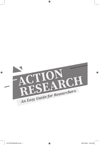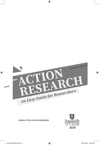

## SARALA THULASI PALPANADAN

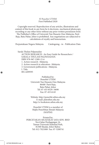## © Penerbit UTHM First Published 2020

⊕

Copyright reserved. Reproduction of any articles, illustrations and content of this book in any form be it electronic, mechanical photocopy, recording or any other form without any prior written permission from The Publisher's Office of Universiti Tun Hussein Onn Malaysia, Parit Raja, Batu Pahat, Johor is prohibited. Any negotiations are subjected to calculations of royalty and honorarium.

Perpustakaan Negara Malaysia Cataloguing - in - Publication Data

Sarala Thulasi Palpanadan ACTION RESEARCH : An Easy Guide for Researchers / SARALA THULASI PALPANADAN. ISBN 978-967-2389-15-6 1. Action research--Malaysia. 2. Action research in education--Malaysia. 3. Government publications--Malaysia. I. Title. 001.4209595

> Published by: Penerbit UTHM Universiti Tun Hussein Onn Malaysia 86400 Parit Raja, Batu Pahat, Johor Tel: 07-453 8529 / 8698 Fax: 07-453 6145

> Website: http://penerbit.uthm.edu.my E-mail: pt@uthm.edu.my http://e-bookstore.uthm.edu.my

Penerbit UTHM is a member of Majlis Penerbitan Ilmiah Malaysia (MAPIM)

Printed by: PERCETAKAN MUAFAKAT JAYA SDN. BHD No.6 Jalan Perdagangan 16, Taman Universiti Industial Park, 81300 Skudai, Johor Bahru Tel: 012-7021008 Fax: 07-5200741

⊕

↔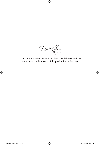*Dedication*

 $\bigoplus$ 

The author humbly dedicate this book to all those who have contributed in the success of the production of this book.

 $\bigoplus$ 

 $\bigoplus$